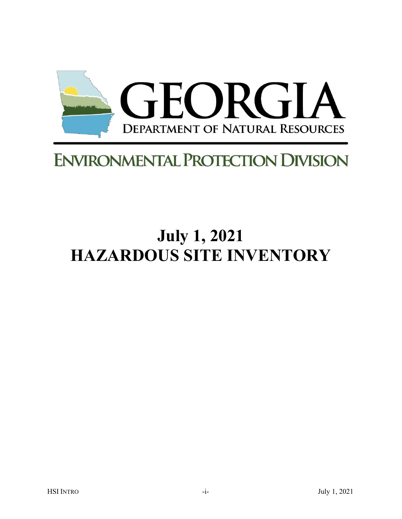

## **ENVIRONMENTAL PROTECTION DIVISION**

# **July 1, 2021 HAZARDOUS SITE INVENTORY**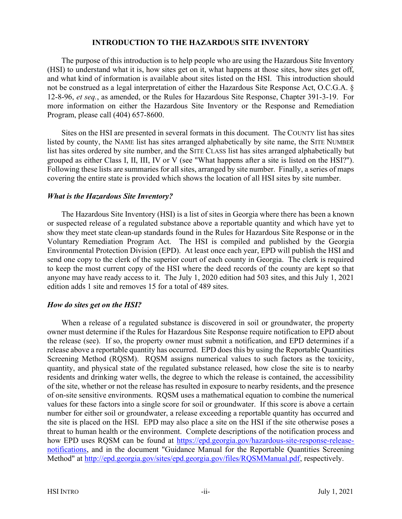#### INTRODUCTION TO THE HAZARDOUS SITE INVENTORY

The purpose of this introduction is to help people who are using the Hazardous Site Inventory (HSI) to understand what it is, how sites get on it, what happens at those sites, how sites get off, and what kind of information is available about sites listed on the HSI. This introduction should not be construed as a legal interpretation of either the Hazardous Site Response Act, O.C.G.A. § 12-8-96, et seq., as amended, or the Rules for Hazardous Site Response, Chapter 391-3-19. For more information on either the Hazardous Site Inventory or the Response and Remediation Program, please call (404) 657-8600.

Sites on the HSI are presented in several formats in this document. The COUNTY list has sites listed by county, the NAME list has sites arranged alphabetically by site name, the SITE NUMBER list has sites ordered by site number, and the SITE CLASS list has sites arranged alphabetically but grouped as either Class I, II, III, IV or V (see "What happens after a site is listed on the HSI?"). Following these lists are summaries for all sites, arranged by site number. Finally, a series of maps covering the entire state is provided which shows the location of all HSI sites by site number.

#### What is the Hazardous Site Inventory?

The Hazardous Site Inventory (HSI) is a list of sites in Georgia where there has been a known or suspected release of a regulated substance above a reportable quantity and which have yet to show they meet state clean-up standards found in the Rules for Hazardous Site Response or in the Voluntary Remediation Program Act. The HSI is compiled and published by the Georgia Environmental Protection Division (EPD). At least once each year, EPD will publish the HSI and send one copy to the clerk of the superior court of each county in Georgia. The clerk is required to keep the most current copy of the HSI where the deed records of the county are kept so that anyone may have ready access to it. The July 1, 2020 edition had 503 sites, and this July 1, 2021 edition adds 1 site and removes 15 for a total of 489 sites.

#### How do sites get on the HSI?

When a release of a regulated substance is discovered in soil or groundwater, the property owner must determine if the Rules for Hazardous Site Response require notification to EPD about the release (see). If so, the property owner must submit a notification, and EPD determines if a release above a reportable quantity has occurred. EPD does this by using the Reportable Quantities Screening Method (RQSM). RQSM assigns numerical values to such factors as the toxicity, quantity, and physical state of the regulated substance released, how close the site is to nearby residents and drinking water wells, the degree to which the release is contained, the accessibility of the site, whether or not the release has resulted in exposure to nearby residents, and the presence of on-site sensitive environments. RQSM uses a mathematical equation to combine the numerical values for these factors into a single score for soil or groundwater. If this score is above a certain number for either soil or groundwater, a release exceeding a reportable quantity has occurred and the site is placed on the HSI. EPD may also place a site on the HSI if the site otherwise poses a threat to human health or the environment. Complete descriptions of the notification process and how EPD uses RQSM can be found at https://epd.georgia.gov/hazardous-site-response-releasenotifications, and in the document "Guidance Manual for the Reportable Quantities Screening Method" at http://epd.georgia.gov/sites/epd.georgia.gov/files/RQSMManual.pdf, respectively.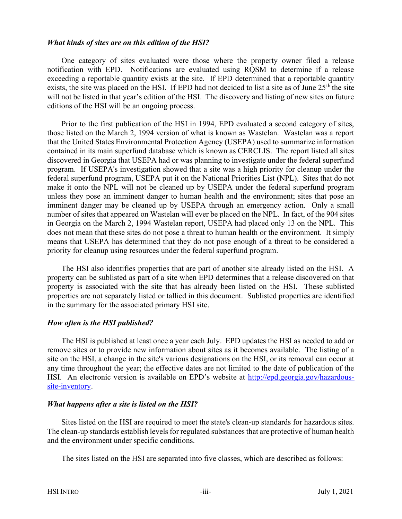#### What kinds of sites are on this edition of the HSI?

One category of sites evaluated were those where the property owner filed a release notification with EPD. Notifications are evaluated using RQSM to determine if a release exceeding a reportable quantity exists at the site. If EPD determined that a reportable quantity exists, the site was placed on the HSI. If EPD had not decided to list a site as of June  $25<sup>th</sup>$  the site will not be listed in that year's edition of the HSI. The discovery and listing of new sites on future editions of the HSI will be an ongoing process.

Prior to the first publication of the HSI in 1994, EPD evaluated a second category of sites, those listed on the March 2, 1994 version of what is known as Wastelan. Wastelan was a report that the United States Environmental Protection Agency (USEPA) used to summarize information contained in its main superfund database which is known as CERCLIS. The report listed all sites discovered in Georgia that USEPA had or was planning to investigate under the federal superfund program. If USEPA's investigation showed that a site was a high priority for cleanup under the federal superfund program, USEPA put it on the National Priorities List (NPL). Sites that do not make it onto the NPL will not be cleaned up by USEPA under the federal superfund program unless they pose an imminent danger to human health and the environment; sites that pose an imminent danger may be cleaned up by USEPA through an emergency action. Only a small number of sites that appeared on Wastelan will ever be placed on the NPL. In fact, of the 904 sites in Georgia on the March 2, 1994 Wastelan report, USEPA had placed only 13 on the NPL. This does not mean that these sites do not pose a threat to human health or the environment. It simply means that USEPA has determined that they do not pose enough of a threat to be considered a priority for cleanup using resources under the federal superfund program.

The HSI also identifies properties that are part of another site already listed on the HSI. A property can be sublisted as part of a site when EPD determines that a release discovered on that property is associated with the site that has already been listed on the HSI. These sublisted properties are not separately listed or tallied in this document. Sublisted properties are identified in the summary for the associated primary HSI site.

#### How often is the HSI published?

The HSI is published at least once a year each July. EPD updates the HSI as needed to add or remove sites or to provide new information about sites as it becomes available. The listing of a site on the HSI, a change in the site's various designations on the HSI, or its removal can occur at any time throughout the year; the effective dates are not limited to the date of publication of the HSI. An electronic version is available on EPD's website at http://epd.georgia.gov/hazardoussite-inventory.

#### What happens after a site is listed on the HSI?

Sites listed on the HSI are required to meet the state's clean-up standards for hazardous sites. The clean-up standards establish levels for regulated substances that are protective of human health and the environment under specific conditions.

The sites listed on the HSI are separated into five classes, which are described as follows: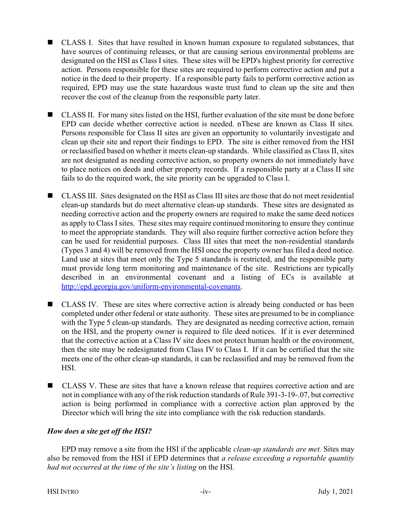- CLASS I. Sites that have resulted in known human exposure to regulated substances, that have sources of continuing releases, or that are causing serious environmental problems are designated on the HSI as Class I sites. These sites will be EPD's highest priority for corrective action. Persons responsible for these sites are required to perform corrective action and put a notice in the deed to their property. If a responsible party fails to perform corrective action as required, EPD may use the state hazardous waste trust fund to clean up the site and then recover the cost of the cleanup from the responsible party later.
- CLASS II. For many sites listed on the HSI, further evaluation of the site must be done before EPD can decide whether corrective action is needed. nThese are known as Class II sites. Persons responsible for Class II sites are given an opportunity to voluntarily investigate and clean up their site and report their findings to EPD. The site is either removed from the HSI or reclassified based on whether it meets clean-up standards. While classified as Class II, sites are not designated as needing corrective action, so property owners do not immediately have to place notices on deeds and other property records. If a responsible party at a Class II site fails to do the required work, the site priority can be upgraded to Class I.
- CLASS III. Sites designated on the HSI as Class III sites are those that do not meet residential clean-up standards but do meet alternative clean-up standards. These sites are designated as needing corrective action and the property owners are required to make the same deed notices as apply to Class I sites. These sites may require continued monitoring to ensure they continue to meet the appropriate standards. They will also require further corrective action before they can be used for residential purposes. Class III sites that meet the non-residential standards (Types 3 and 4) will be removed from the HSI once the property owner has filed a deed notice. Land use at sites that meet only the Type 5 standards is restricted, and the responsible party must provide long term monitoring and maintenance of the site. Restrictions are typically described in an environmental covenant and a listing of ECs is available at http://epd.georgia.gov/uniform-environmental-covenants.
- CLASS IV. These are sites where corrective action is already being conducted or has been completed under other federal or state authority. These sites are presumed to be in compliance with the Type 5 clean-up standards. They are designated as needing corrective action, remain on the HSI, and the property owner is required to file deed notices. If it is ever determined that the corrective action at a Class IV site does not protect human health or the environment, then the site may be redesignated from Class IV to Class I. If it can be certified that the site meets one of the other clean-up standards, it can be reclassified and may be removed from the HSI.
- CLASS V. These are sites that have a known release that requires corrective action and are not in compliance with any of the risk reduction standards of Rule 391-3-19-.07, but corrective action is being performed in compliance with a corrective action plan approved by the Director which will bring the site into compliance with the risk reduction standards.

### How does a site get off the HSI?

EPD may remove a site from the HSI if the applicable *clean-up standards are met*. Sites may also be removed from the HSI if EPD determines that a release exceeding a reportable quantity had not occurred at the time of the site's listing on the HSI.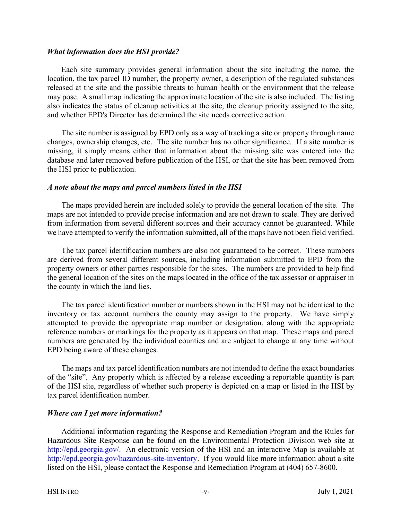#### What information does the HSI provide?

Each site summary provides general information about the site including the name, the location, the tax parcel ID number, the property owner, a description of the regulated substances released at the site and the possible threats to human health or the environment that the release may pose. A small map indicating the approximate location of the site is also included. The listing also indicates the status of cleanup activities at the site, the cleanup priority assigned to the site, and whether EPD's Director has determined the site needs corrective action.

The site number is assigned by EPD only as a way of tracking a site or property through name changes, ownership changes, etc. The site number has no other significance. If a site number is missing, it simply means either that information about the missing site was entered into the database and later removed before publication of the HSI, or that the site has been removed from the HSI prior to publication.

#### A note about the maps and parcel numbers listed in the HSI

The maps provided herein are included solely to provide the general location of the site. The maps are not intended to provide precise information and are not drawn to scale. They are derived from information from several different sources and their accuracy cannot be guaranteed. While we have attempted to verify the information submitted, all of the maps have not been field verified.

The tax parcel identification numbers are also not guaranteed to be correct. These numbers are derived from several different sources, including information submitted to EPD from the property owners or other parties responsible for the sites. The numbers are provided to help find the general location of the sites on the maps located in the office of the tax assessor or appraiser in the county in which the land lies.

The tax parcel identification number or numbers shown in the HSI may not be identical to the inventory or tax account numbers the county may assign to the property. We have simply attempted to provide the appropriate map number or designation, along with the appropriate reference numbers or markings for the property as it appears on that map. These maps and parcel numbers are generated by the individual counties and are subject to change at any time without EPD being aware of these changes.

The maps and tax parcel identification numbers are not intended to define the exact boundaries of the "site". Any property which is affected by a release exceeding a reportable quantity is part of the HSI site, regardless of whether such property is depicted on a map or listed in the HSI by tax parcel identification number.

#### Where can I get more information?

Additional information regarding the Response and Remediation Program and the Rules for Hazardous Site Response can be found on the Environmental Protection Division web site at http://epd.georgia.gov/. An electronic version of the HSI and an interactive Map is available at http://epd.georgia.gov/hazardous-site-inventory. If you would like more information about a site listed on the HSI, please contact the Response and Remediation Program at (404) 657-8600.